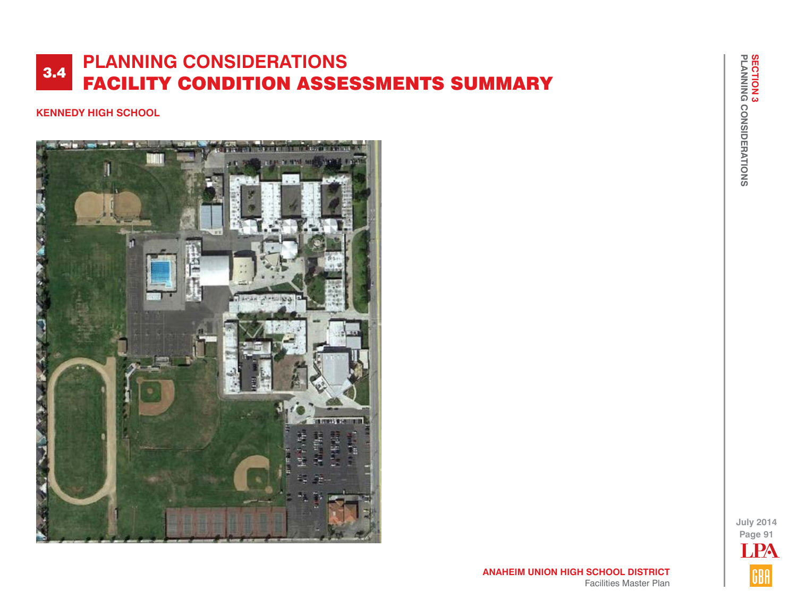#### **KENNEDY HIGH SCHOOL**



**July 2014 Page 91 TPA** GBA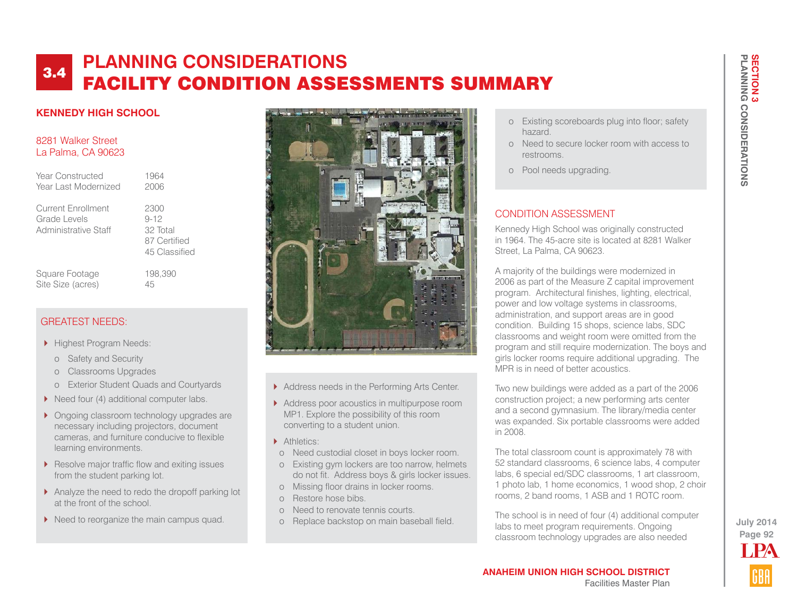#### **KENNEDY HIGH SCHOOL**

#### 8281 Walker Street La Palma, CA 90623

| Year Constructed<br>Year Last Modernized                          | 1964<br>2006                                                  |
|-------------------------------------------------------------------|---------------------------------------------------------------|
| <b>Current Enrollment</b><br>Grade Levels<br>Administrative Staff | 2300<br>$9 - 12$<br>32 Total<br>87 Certified<br>45 Classified |
| Square Footage                                                    | 198,390                                                       |

# GREATEST NEEDS:

Highest Program Needs:

Site Size (acres) 45

- o Safety and Security
- o Classrooms Upgrades
- o Exterior Student Quads and Courtyards
- ▶ Need four (4) additional computer labs.
- **Ongoing classroom technology upgrades are** necessary including projectors, document cameras, and furniture conducive to flexible learning environments.
- Resolve major traffic flow and exiting issues from the student parking lot.
- Analyze the need to redo the dropoff parking lot at the front of the school.
- Need to reorganize the main campus quad.



- Address needs in the Performing Arts Center.
- Address poor acoustics in multipurpose room MP1. Explore the possibility of this room converting to a student union.
- Athletics:
- o Need custodial closet in boys locker room.
- o Existing gym lockers are too narrow, helmets do not fit. Address boys & girls locker issues.
- o Missing floor drains in locker rooms.
- o Restore hose bibs.
- o Need to renovate tennis courts.
- o Replace backstop on main baseball field.
- o Existing scoreboards plug into floor; safety hazard.
- o Need to secure locker room with access to restrooms.
- o Pool needs upgrading.

#### CONDITION ASSESSMENT

Kennedy High School was originally constructed in 1964. The 45-acre site is located at 8281 Walker Street, La Palma, CA 90623.

A majority of the buildings were modernized in 2006 as part of the Measure Z capital improvement program. Architectural finishes, lighting, electrical, power and low voltage systems in classrooms, administration, and support areas are in good condition. Building 15 shops, science labs, SDC classrooms and weight room were omitted from the program and still require modernization. The boys and girls locker rooms require additional upgrading. The MPR is in need of better acoustics.

Two new buildings were added as a part of the 2006 construction project; a new performing arts center and a second gymnasium. The library/media center was expanded. Six portable classrooms were added in 2008.

The total classroom count is approximately 78 with 52 standard classrooms, 6 science labs, 4 computer labs, 6 special ed/SDC classrooms, 1 art classroom, 1 photo lab, 1 home economics, 1 wood shop, 2 choir rooms, 2 band rooms, 1 ASB and 1 ROTC room.

The school is in need of four (4) additional computer labs to meet program requirements. Ongoing classroom technology upgrades are also needed

# **Page 92 July 2014** LPA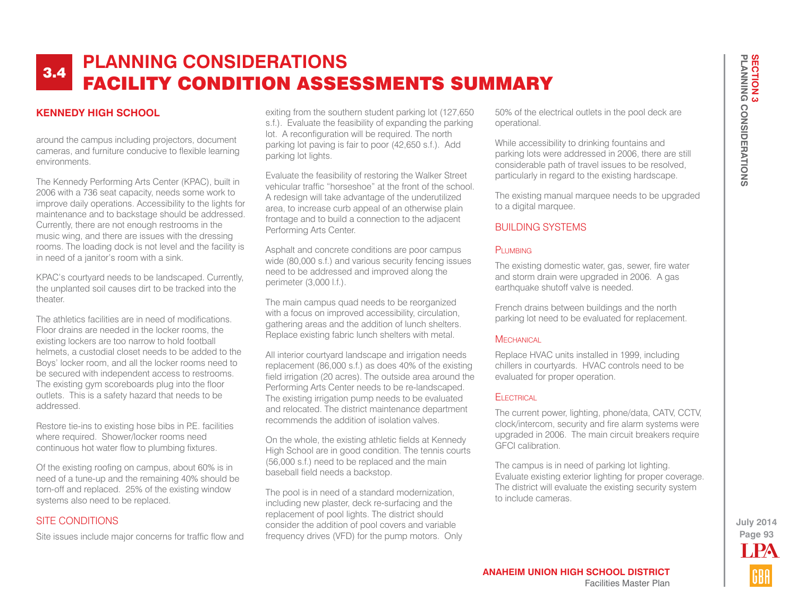#### **KENNEDY HIGH SCHOOL**

around the campus including projectors, document cameras, and furniture conducive to flexible learning environments.

The Kennedy Performing Arts Center (KPAC), built in 2006 with a 736 seat capacity, needs some work to improve daily operations. Accessibility to the lights for maintenance and to backstage should be addressed. Currently, there are not enough restrooms in the music wing, and there are issues with the dressing rooms. The loading dock is not level and the facility is in need of a janitor's room with a sink.

KPAC's courtyard needs to be landscaped. Currently, the unplanted soil causes dirt to be tracked into the theater.

The athletics facilities are in need of modifications. Floor drains are needed in the locker rooms, the existing lockers are too narrow to hold football helmets, a custodial closet needs to be added to the Boys' locker room, and all the locker rooms need to be secured with independent access to restrooms. The existing gym scoreboards plug into the floor outlets. This is a safety hazard that needs to be addressed.

Restore tie-ins to existing hose bibs in P.E. facilities where required. Shower/locker rooms need continuous hot water flow to plumbing fixtures.

Of the existing roofing on campus, about 60% is in need of a tune-up and the remaining 40% should be torn-off and replaced. 25% of the existing window systems also need to be replaced.

#### SITE CONDITIONS

Site issues include major concerns for traffic flow and

exiting from the southern student parking lot (127,650 s.f.). Evaluate the feasibility of expanding the parking lot. A reconfiguration will be required. The north parking lot paving is fair to poor (42,650 s.f.). Add parking lot lights.

Evaluate the feasibility of restoring the Walker Street vehicular traffic "horseshoe" at the front of the school. A redesign will take advantage of the underutilized area, to increase curb appeal of an otherwise plain frontage and to build a connection to the adjacent Performing Arts Center.

Asphalt and concrete conditions are poor campus wide (80,000 s.f.) and various security fencing issues need to be addressed and improved along the perimeter (3,000 l.f.).

The main campus quad needs to be reorganized with a focus on improved accessibility, circulation, gathering areas and the addition of lunch shelters. Replace existing fabric lunch shelters with metal.

All interior courtyard landscape and irrigation needs replacement (86,000 s.f.) as does 40% of the existing field irrigation (20 acres). The outside area around the Performing Arts Center needs to be re-landscaped. The existing irrigation pump needs to be evaluated and relocated. The district maintenance department recommends the addition of isolation valves.

On the whole, the existing athletic fields at Kennedy High School are in good condition. The tennis courts (56,000 s.f.) need to be replaced and the main baseball field needs a backstop.

The pool is in need of a standard modernization, including new plaster, deck re-surfacing and the replacement of pool lights. The district should consider the addition of pool covers and variable frequency drives (VFD) for the pump motors. Only 50% of the electrical outlets in the pool deck are operational.

While accessibility to drinking fountains and parking lots were addressed in 2006, there are still considerable path of travel issues to be resolved, particularly in regard to the existing hardscape.

The existing manual marquee needs to be upgraded to a digital marquee.

#### BUILDING SYSTEMS

#### PLUMBING

The existing domestic water, gas, sewer, fire water and storm drain were upgraded in 2006. A gas earthquake shutoff valve is needed.

French drains between buildings and the north parking lot need to be evaluated for replacement.

#### **MECHANICAL**

Replace HVAC units installed in 1999, including chillers in courtyards. HVAC controls need to be evaluated for proper operation.

#### **ELECTRICAL**

The current power, lighting, phone/data, CATV, CCTV, clock/intercom, security and fire alarm systems were upgraded in 2006. The main circuit breakers require GFCI calibration.

The campus is in need of parking lot lighting. Evaluate existing exterior lighting for proper coverage. The district will evaluate the existing security system to include cameras.

> **Page 93 July 2014** LPA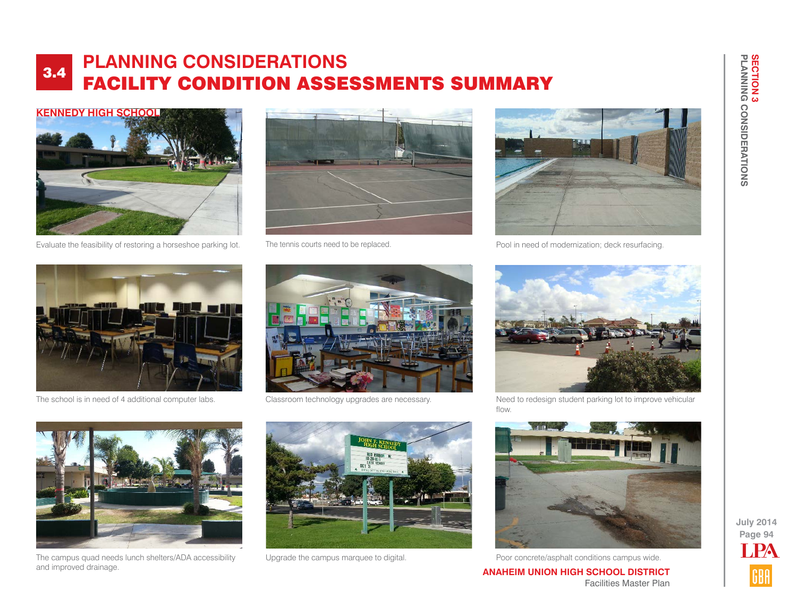

Evaluate the feasibility of restoring a horseshoe parking lot. The tennis courts need to be replaced.





Pool in need of modernization; deck resurfacing.



The school is in need of 4 additional computer labs. Classroom technology upgrades are necessary.





Need to redesign student parking lot to improve vehicular flow.



The campus quad needs lunch shelters/ADA accessibility and improved drainage.





Upgrade the campus marquee to digital. Poor concrete/asphalt conditions campus wide.

**PLANNING CONSIDERATIONS**

**SECTION 3<br>PLANNING CONSIDERATIONS** 

**SECTION 3**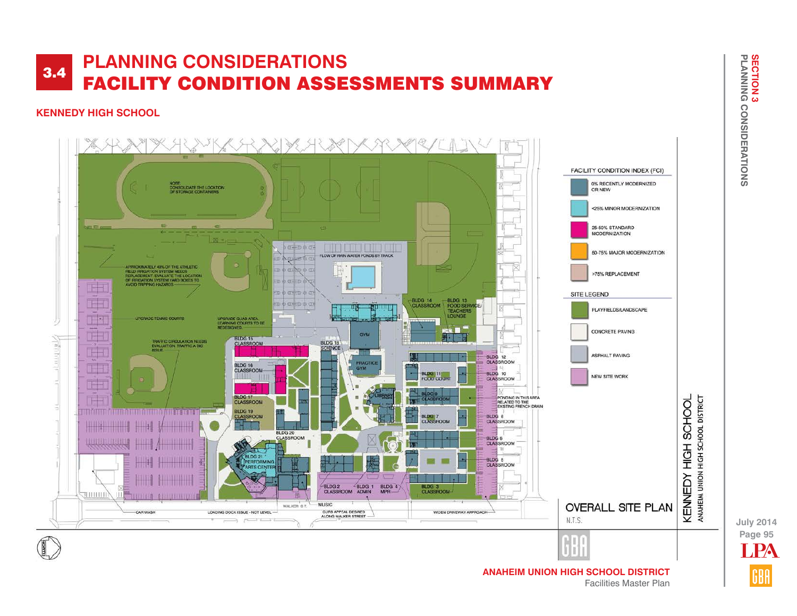#### **KENNEDY HIGH SCHOOL**



**Page 95 July 2014** LPA